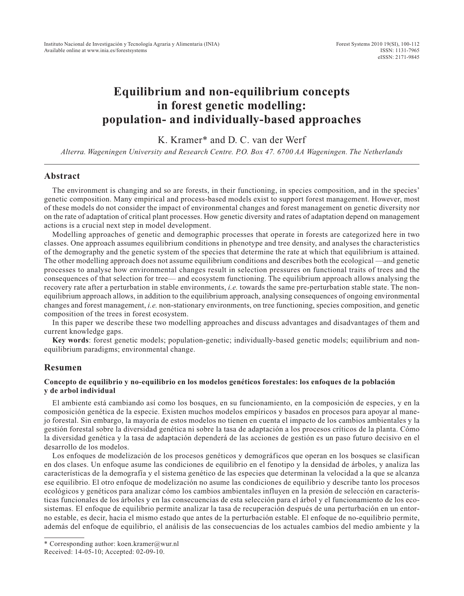# **Equilibrium and non-equilibrium concepts in forest genetic modelling: population- and individually-based approaches**

K. Kramer\* and D. C. van der Werf

*Alterra. Wageningen University and Research Centre. P.O. Box 47. 6700 AA Wageningen. The Netherlands*

### **Abstract**

The environment is changing and so are forests, in their functioning, in species composition, and in the species' genetic composition. Many empirical and process-based models exist to support forest management. However, most of these models do not consider the impact of environmental changes and forest management on genetic diversity nor on the rate of adaptation of critical plant processes. How genetic diversity and rates of adaptation depend on management actions is a crucial next step in model development.

Modelling approaches of genetic and demographic processes that operate in forests are categorized here in two classes. One approach assumes equilibrium conditions in phenotype and tree density, and analyses the characteristics of the demography and the genetic system of the species that determine the rate at which that equilibrium is attained. The other modelling approach does not assume equilibrium conditions and describes both the ecological —and genetic processes to analyse how environmental changes result in selection pressures on functional traits of trees and the consequences of that selection for tree— and ecosystem functioning. The equilibrium approach allows analysing the recovery rate after a perturbation in stable environments, *i.e.* towards the same pre-perturbation stable state. The nonequilibrium approach allows, in addition to the equilibrium approach, analysing consequences of ongoing environmental changes and forest management, *i.e.* non-stationary environments, on tree functioning, species composition, and genetic composition of the trees in forest ecosystem.

In this paper we describe these two modelling approaches and discuss advantages and disadvantages of them and current knowledge gaps.

**Key words**: forest genetic models; population-genetic; individually-based genetic models; equilibrium and nonequilibrium paradigms; environmental change.

## **Resumen**

#### **Concepto de equilibrio y no-equilibrio en los modelos genéticos forestales: los enfoques de la población y de arbol individual**

El ambiente está cambiando así como los bosques, en su funcionamiento, en la composición de especies, y en la composición genética de la especie. Existen muchos modelos empíricos y basados en procesos para apoyar al manejo forestal. Sin embargo, la mayoría de estos modelos no tienen en cuenta el impacto de los cambios ambientales y la gestión forestal sobre la diversidad genética ni sobre la tasa de adaptación a los procesos críticos de la planta. Cómo la diversidad genética y la tasa de adaptación dependerá de las acciones de gestión es un paso futuro decisivo en el desarrollo de los modelos.

Los enfoques de modelización de los procesos genéticos y demográficos que operan en los bosques se clasifican en dos clases. Un enfoque asume las condiciones de equilibrio en el fenotipo y la densidad de árboles, y analiza las características de la demografía y el sistema genético de las especies que determinan la velocidad a la que se alcanza ese equilibrio. El otro enfoque de modelización no asume las condiciones de equilibrio y describe tanto los procesos ecológicos y genéticos para analizar cómo los cambios ambientales influyen en la presión de selección en características funcionales de los árboles y en las consecuencias de esta selección para el árbol y el funcionamiento de los ecosistemas. El enfoque de equilibrio permite analizar la tasa de recuperación después de una perturbación en un entorno estable, es decir, hacia el mismo estado que antes de la perturbación estable. El enfoque de no-equilibrio permite, además del enfoque de equilibrio, el análisis de las consecuencias de los actuales cambios del medio ambiente y la

<sup>\*</sup> Corresponding author: koen.kramer@wur.nl Received: 14-05-10; Accepted: 02-09-10.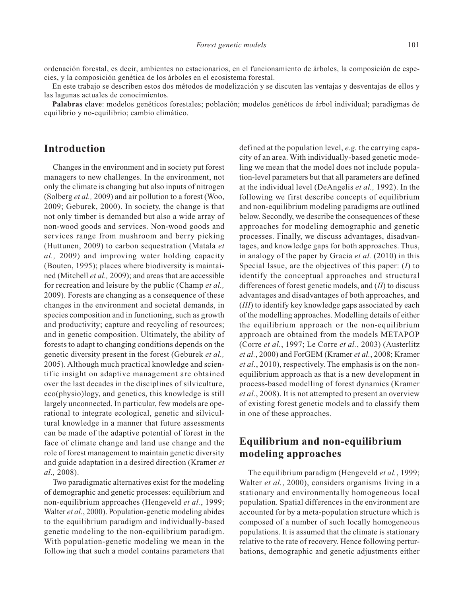ordenación forestal, es decir, ambientes no estacionarios, en el funcionamiento de árboles, la composición de especies, y la composición genética de los árboles en el ecosistema forestal.

En este trabajo se describen estos dos métodos de modelización y se discuten las ventajas y desventajas de ellos y las lagunas actuales de conocimientos.

**Palabras clave**: modelos genéticos forestales; población; modelos genéticos de árbol individual; paradigmas de equilibrio y no-equilibrio; cambio climático.

# **Introduction**

Changes in the environment and in society put forest managers to new challenges. In the environment, not only the climate is changing but also inputs of nitrogen (Solberg *et al.,* 2009) and air pollution to a forest (Woo, 2009; Geburek, 2000). In society, the change is that not only timber is demanded but also a wide array of non-wood goods and services. Non-wood goods and services range from mushroom and berry picking (Huttunen, 2009) to carbon sequestration (Matala *et al.,* 2009) and improving water holding capacity (Bouten, 1995); places where biodiversity is maintained (Mitchell *et al.,* 2009); and areas that are accessible for recreation and leisure by the public (Champ *et al.,* 2009). Forests are changing as a consequence of these changes in the environment and societal demands, in species composition and in functioning, such as growth and productivity; capture and recycling of resources; and in genetic composition. Ultimately, the ability of forests to adapt to changing conditions depends on the genetic diversity present in the forest (Geburek *et al.,* 2005). Although much practical knowledge and scientific insight on adaptive management are obtained over the last decades in the disciplines of silviculture, eco(physio)logy, and genetics, this knowledge is still largely unconnected. In particular, few models are operational to integrate ecological, genetic and silvicultural knowledge in a manner that future assessments can be made of the adaptive potential of forest in the face of climate change and land use change and the role of forest management to maintain genetic diversity and guide adaptation in a desired direction (Kramer *et al.,* 2008).

Two paradigmatic alternatives exist for the modeling of demographic and genetic processes: equilibrium and non-equilibrium approaches (Hengeveld *et al.*, 1999; Walter *et al.*, 2000). Population-genetic modeling abides to the equilibrium paradigm and individually-based genetic modeling to the non-equilibrium paradigm. With population-genetic modeling we mean in the following that such a model contains parameters that

defined at the population level, *e.g.* the carrying capacity of an area. With individually-based genetic modeling we mean that the model does not include population-level parameters but that all parameters are defined at the individual level (DeAngelis *et al.,* 1992). In the following we first describe concepts of equilibrium and non-equilibrium modeling paradigms are outlined below. Secondly, we describe the consequences of these approaches for modeling demographic and genetic processes. Finally, we discuss advantages, disadvantages, and knowledge gaps for both approaches. Thus, in analogy of the paper by Gracia *et al.* (2010) in this Special Issue, are the objectives of this paper: (*I*) to identify the conceptual approaches and structural differences of forest genetic models, and (*II*) to discuss advantages and disadvantages of both approaches, and (*III*) to identify key knowledge gaps associated by each of the modelling approaches. Modelling details of either the equilibrium approach or the non-equilibrium approach are obtained from the models METAPOP (Corre *et al.*, 1997; Le Corre *et al.*, 2003) (Austerlitz *et al.*, 2000) and ForGEM (Kramer *et al.*, 2008; Kramer *et al.*, 2010), respectively. The emphasis is on the nonequilibrium approach as that is a new development in process-based modelling of forest dynamics (Kramer *et al.*, 2008). It is not attempted to present an overview of existing forest genetic models and to classify them in one of these approaches.

# **Equilibrium and non-equilibrium modeling approaches**

The equilibrium paradigm (Hengeveld *et al.*, 1999; Walter *et al.*, 2000), considers organisms living in a stationary and environmentally homogeneous local population. Spatial differences in the environment are accounted for by a meta-population structure which is composed of a number of such locally homogeneous populations. It is assumed that the climate is stationary relative to the rate of recovery. Hence following perturbations, demographic and genetic adjustments either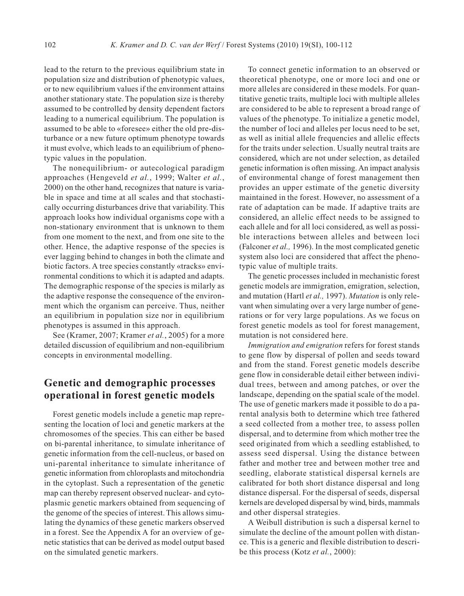lead to the return to the previous equilibrium state in population size and distribution of phenotypic values, or to new equilibrium values if the environment attains another stationary state. The population size is thereby assumed to be controlled by density dependent factors leading to a numerical equilibrium. The population is assumed to be able to «foresee» either the old pre-disturbance or a new future optimum phenotype towards it must evolve, which leads to an equilibrium of phenotypic values in the population.

The nonequilibrium- or autecological paradigm approaches (Hengeveld *et al.*, 1999; Walter *et al.*, 2000) on the other hand, recognizes that nature is variable in space and time at all scales and that stochastically occurring disturbances drive that variability. This approach looks how individual organisms cope with a non-stationary environment that is unknown to them from one moment to the next, and from one site to the other. Hence, the adaptive response of the species is ever lagging behind to changes in both the climate and biotic factors. A tree species constantly «tracks» environmental conditions to which it is adapted and adapts. The demographic response of the species is milarly as the adaptive response the consequence of the environment which the organism can perceive. Thus, neither an equilibrium in population size nor in equilibrium phenotypes is assumed in this approach.

See (Kramer, 2007; Kramer *et al.*, 2005) for a more detailed discussion of equilibrium and non-equilibrium concepts in environmental modelling.

# **Genetic and demographic processes operational in forest genetic models**

Forest genetic models include a genetic map representing the location of loci and genetic markers at the chromosomes of the species. This can either be based on bi-parental inheritance, to simulate inheritance of genetic information from the cell-nucleus, or based on uni-parental inheritance to simulate inheritance of genetic information from chloroplasts and mitochondria in the cytoplast. Such a representation of the genetic map can thereby represent observed nuclear- and cytoplasmic genetic markers obtained from sequencing of the genome of the species of interest. This allows simulating the dynamics of these genetic markers observed in a forest. See the Appendix A for an overview of genetic statistics that can be derived as model output based on the simulated genetic markers.

To connect genetic information to an observed or theoretical phenotype, one or more loci and one or more alleles are considered in these models. For quantitative genetic traits, multiple loci with multiple alleles are considered to be able to represent a broad range of values of the phenotype. To initialize a genetic model, the number of loci and alleles per locus need to be set, as well as initial allele frequencies and allelic effects for the traits under selection. Usually neutral traits are considered, which are not under selection, as detailed genetic information is often missing. An impact analysis of environmental change of forest management then provides an upper estimate of the genetic diversity maintained in the forest. However, no assessment of a rate of adaptation can be made. If adaptive traits are considered, an allelic effect needs to be assigned to each allele and for all loci considered, as well as possible interactions between alleles and between loci (Falconer *et al.,* 1996). In the most complicated genetic system also loci are considered that affect the phenotypic value of multiple traits.

The genetic processes included in mechanistic forest genetic models are immigration, emigration, selection, and mutation (Hartl *et al.,* 1997). *Mutation* is only relevant when simulating over a very large number of generations or for very large populations. As we focus on forest genetic models as tool for forest management, mutation is not considered here.

*Immigration and emigration* refers for forest stands to gene flow by dispersal of pollen and seeds toward and from the stand. Forest genetic models describe gene flow in considerable detail either between individual trees, between and among patches, or over the landscape, depending on the spatial scale of the model. The use of genetic markers made it possible to do a parental analysis both to determine which tree fathered a seed collected from a mother tree, to assess pollen dispersal, and to determine from which mother tree the seed originated from which a seedling established, to assess seed dispersal. Using the distance between father and mother tree and between mother tree and seedling, elaborate statistical dispersal kernels are calibrated for both short distance dispersal and long distance dispersal. For the dispersal of seeds, dispersal kernels are developed dispersal by wind, birds, mammals and other dispersal strategies.

A Weibull distribution is such a dispersal kernel to simulate the decline of the amount pollen with distance. This is a generic and flexible distribution to describe this process (Kotz *et al.*, 2000):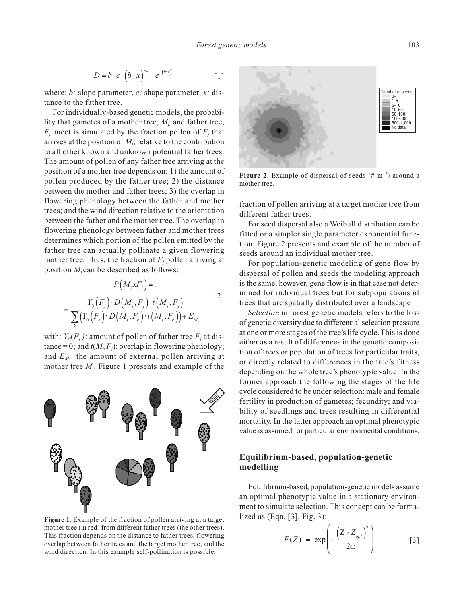$$
D = b \cdot c \cdot (b \cdot x)^{c-1} \cdot e^{-(b \cdot x)^c} \tag{1}
$$

where: *b:* slope parameter, *c:* shape parameter, *x:* distance to the father tree.

For individually-based genetic models, the probability that gametes of a mother tree, *Mi,* and father tree,  $F_i$  meet is simulated by the fraction pollen of  $F_i$  that arrives at the position of  $M_i$ , relative to the contribution to all other known and unknown potential father trees. The amount of pollen of any father tree arriving at the position of a mother tree depends on: 1) the amount of pollen produced by the father tree; 2) the distance between the mother and father trees; 3) the overlap in flowering phenology between the father and mother trees; and the wind direction relative to the orientation between the father and the mother tree. The overlap in flowering phenology between father and mother trees determines which portion of the pollen emitted by the father tree can actually pollinate a given flowering mother tree. Thus, the fraction of  $F_j$  pollen arriving at position *Mi* can be described as follows:

$$
P(M_{i}xF_{j}) =
$$
  
= 
$$
\frac{Y_{0}(F_{j}) \cdot D(M_{i}, F_{j}) \cdot t(M_{i}, F_{j})}{\sum_{k} (Y_{0}(F_{k}) \cdot D(M_{i}, F_{k}) \cdot t(M_{i}, F_{k})) + E_{M_{i}}}
$$
 [2]

with:  $Y_0(F_i)$ : amount of pollen of father tree  $F_i$  at distance = 0; and  $t(M_i, F_i)$ : overlap in flowering phenology; and  $E_M$ : the amount of external pollen arriving at mother tree *Mi*. Figure 1 presents and example of the



**Figure 1.** Example of the fraction of pollen arriving at a target mother tree (in red) from different father trees (the other trees). This fraction depends on the distance to father trees, flowering overlap between father trees and the target mother tree, and the wind direction. In this example self-pollination is possible.



Figure 2. Example of dispersal of seeds (# m<sup>-2</sup>) around a mother tree.

fraction of pollen arriving at a target mother tree from different father trees.

For seed dispersal also a Weibull distribution can be fitted or a simpler single parameter exponential function. Figure 2 presents and example of the number of seeds around an individual mother tree.

For population-genetic modeling of gene flow by dispersal of pollen and seeds the modeling approach is the same, however, gene flow is in that case not determined for individual trees but for subpopulations of trees that are spatially distributed over a landscape.

*Selection* in forest genetic models refers to the loss of genetic diversity due to differential selection pressure at one or more stages of the tree's life cycle. This is done either as a result of differences in the genetic composition of trees or population of trees for particular traits, or directly related to differences in the tree's fitness depending on the whole tree's phenotypic value. In the former approach the following the stages of the life cycle considered to be under selection: male and female fertility in production of gametes; fecundity; and viability of seedlings and trees resulting in differential mortality. In the latter approach an optimal phenotypic value is assumed for particular environmental conditions.

# **Equilibrium-based, population-genetic modelling**

Equilibrium-based, population-genetic models assume an optimal phenotypic value in a stationary environment to simulate selection. This concept can be formalized as  $(Eqn. [3], Fig. 3)$ :

$$
F(Z) = \exp\left(-\frac{\left(Z - Z_{opt}\right)^2}{2\omega^2}\right) \tag{3}
$$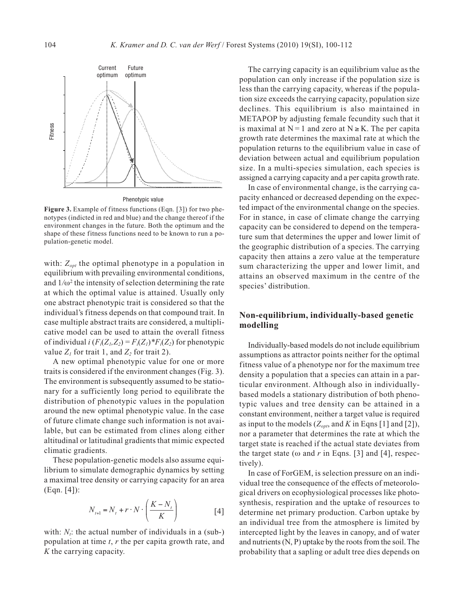

Phenotypic value

**Figure 3.** Example of fitness functions (Eqn. [3]) for two phenotypes (indicted in red and blue) and the change thereof if the environment changes in the future. Both the optimum and the shape of these fitness functions need to be known to run a population-genetic model.

with:  $Z_{opt}$  the optimal phenotype in a population in equilibrium with prevailing environmental conditions, and  $1/\omega^2$  the intensity of selection determining the rate at which the optimal value is attained. Usually only one abstract phenotypic trait is considered so that the individual's fitness depends on that compound trait. In case multiple abstract traits are considered, a multiplicative model can be used to attain the overall fitness of individual *i*  $(F_i(Z_i, Z_2) = F_i(Z_i) * F_i(Z_2)$  for phenotypic value  $Z_1$  for trait 1, and  $Z_2$  for trait 2).

A new optimal phenotypic value for one or more traits is considered if the environment changes (Fig. 3). The environment is subsequently assumed to be stationary for a sufficiently long period to equilibrate the distribution of phenotypic values in the population around the new optimal phenotypic value. In the case of future climate change such information is not available, but can be estimated from clines along either altitudinal or latitudinal gradients that mimic expected climatic gradients.

These population-genetic models also assume equilibrium to simulate demographic dynamics by setting a maximal tree density or carrying capacity for an area (Eqn. [4]):

$$
N_{t+1} = N_t + r \cdot N \cdot \left(\frac{K - N_t}{K}\right)
$$
 [4]

with:  $N_t$ : the actual number of individuals in a (sub-) population at time *t*, *r* the per capita growth rate, and *K* the carrying capacity.

The carrying capacity is an equilibrium value as the population can only increase if the population size is less than the carrying capacity, whereas if the population size exceeds the carrying capacity, population size declines. This equilibrium is also maintained in METAPOP by adjusting female fecundity such that it is maximal at  $N = 1$  and zero at  $N \ge K$ . The per capita growth rate determines the maximal rate at which the population returns to the equilibrium value in case of deviation between actual and equilibrium population size. In a multi-species simulation, each species is assigned a carrying capacity and a per capita growth rate.

In case of environmental change, is the carrying capacity enhanced or decreased depending on the expected impact of the environmental change on the species. For in stance, in case of climate change the carrying capacity can be considered to depend on the temperature sum that determines the upper and lower limit of the geographic distribution of a species. The carrying capacity then attains a zero value at the temperature sum characterizing the upper and lower limit, and attains an observed maximum in the centre of the species' distribution.

### **Non-equilibrium, individually-based genetic modelling**

Individually-based models do not include equilibrium assumptions as attractor points neither for the optimal fitness value of a phenotype nor for the maximum tree density a population that a species can attain in a particular environment. Although also in individuallybased models a stationary distribution of both phenotypic values and tree density can be attained in a constant environment, neither a target value is required as input to the models  $(Z_{\text{opt}})$ , and *K* in Eqns [1] and [2]), nor a parameter that determines the rate at which the target state is reached if the actual state deviates from the target state ( $\omega$  and *r* in Eqns. [3] and [4], respectively).

In case of ForGEM, is selection pressure on an individual tree the consequence of the effects of meteorological drivers on ecophysiological processes like photosynthesis, respiration and the uptake of resources to determine net primary production. Carbon uptake by an individual tree from the atmosphere is limited by intercepted light by the leaves in canopy, and of water and nutrients (N, P) uptake by the roots from the soil. The probability that a sapling or adult tree dies depends on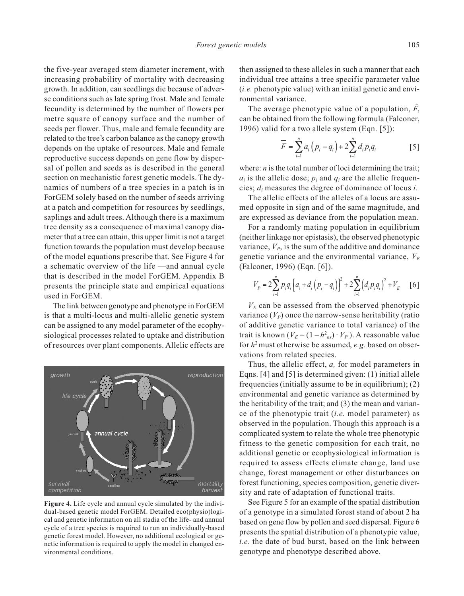the five-year averaged stem diameter increment, with increasing probability of mortality with decreasing growth. In addition, can seedlings die because of adverse conditions such as late spring frost. Male and female fecundity is determined by the number of flowers per metre square of canopy surface and the number of seeds per flower. Thus, male and female fecundity are related to the tree's carbon balance as the canopy growth depends on the uptake of resources. Male and female reproductive success depends on gene flow by dispersal of pollen and seeds as is described in the general section on mechanistic forest genetic models. The dynamics of numbers of a tree species in a patch is in ForGEM solely based on the number of seeds arriving at a patch and competition for resources by seedlings, saplings and adult trees. Although there is a maximum tree density as a consequence of maximal canopy diameter that a tree can attain, this upper limit is not a target function towards the population must develop because of the model equations prescribe that. See Figure 4 for a schematic overview of the life —and annual cycle that is described in the model ForGEM. Appendix B presents the principle state and empirical equations used in ForGEM.

The link between genotype and phenotype in ForGEM is that a multi-locus and multi-allelic genetic system can be assigned to any model parameter of the ecophysiological processes related to uptake and distribution of resources over plant components. Allelic effects are



**Figure 4.** Life cycle and annual cycle simulated by the individual-based genetic model ForGEM. Detailed eco(physio)logical and genetic information on all stadia of the life- and annual cycle of a tree species is required to run an individually-based genetic forest model. However, no additional ecological or genetic information is required to apply the model in changed environmental conditions.

then assigned to these alleles in such a manner that each individual tree attains a tree specific parameter value (*i.e.* phenotypic value) with an initial genetic and environmental variance.

The average phenotypic value of a population,  $\bar{F}$ , can be obtained from the following formula (Falconer, 1996) valid for a two allele system (Eqn. [5]):

$$
\overline{F} = \sum_{i=1}^{n} a_i (p_i - q_i) + 2 \sum_{i=1}^{n} d_i p_i q_i
$$
 [5]

where: *n* is the total number of loci determining the trait;  $a_i$  is the allelic dose;  $p_i$  and  $q_i$  are the allelic frequencies; *di* measures the degree of dominance of locus *i*.

The allelic effects of the alleles of a locus are assumed opposite in sign and of the same magnitude, and are expressed as deviance from the population mean.

For a randomly mating population in equilibrium (neither linkage nor epistasis), the observed phenotypic variance,  $V_p$ , is the sum of the additive and dominance genetic variance and the environmental variance,  $V<sub>E</sub>$ (Falconer, 1996) (Eqn. [6]).

$$
V_{P} = 2\sum_{i=1}^{n} p_{i}q_{i} \left[ a_{i} + d_{i} \left( p_{i} - q_{i} \right) \right]^{2} + 2\sum_{i=1}^{n} \left( d_{i} p_{i} q_{i} \right)^{2} + V_{E} \quad [6]
$$

 $V<sub>E</sub>$  can be assessed from the observed phenotypic variance  $(V_P)$  once the narrow-sense heritability (ratio of additive genetic variance to total variance) of the trait is known  $(V_E = (1 - h_{ns}) \cdot V_P)$ . A reasonable value for *h*2must otherwise be assumed, *e.g.* based on observations from related species.

Thus, the allelic effect, *a,* for model parameters in Eqns. [4] and [5] is determined given: (1) initial allele frequencies (initially assume to be in equilibrium); (2) environmental and genetic variance as determined by the heritability of the trait; and (3) the mean and variance of the phenotypic trait (*i.e.* model parameter) as observed in the population. Though this approach is a complicated system to relate the whole tree phenotypic fitness to the genetic composition for each trait, no additional genetic or ecophysiological information is required to assess effects climate change, land use change, forest management or other disturbances on forest functioning, species composition, genetic diversity and rate of adaptation of functional traits.

See Figure 5 for an example of the spatial distribution of a genotype in a simulated forest stand of about 2 ha based on gene flow by pollen and seed dispersal. Figure 6 presents the spatial distribution of a phenotypic value, *i.e.* the date of bud burst, based on the link between genotype and phenotype described above.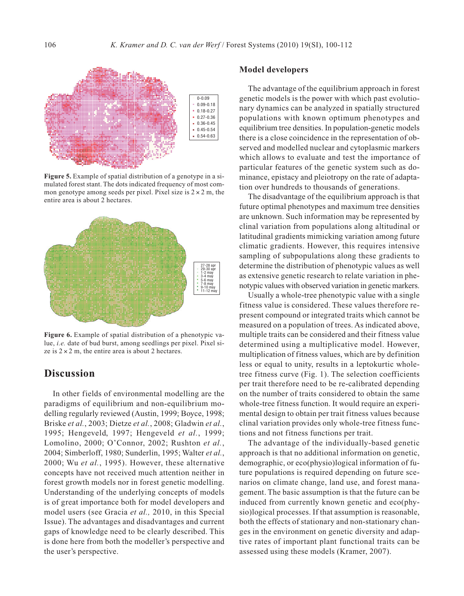

**Figure 5.** Example of spatial distribution of a genotype in a simulated forest stant. The dots indicated frequency of most common genotype among seeds per pixel. Pixel size is  $2 \times 2$  m, the entire area is about 2 hectares.



**Figure 6.** Example of spatial distribution of a phenotypic value, *i.e.* date of bud burst, among seedlings per pixel. Pixel size is  $2 \times 2$  m, the entire area is about 2 hectares.

# **Discussion**

In other fields of environmental modelling are the paradigms of equilibrium and non-equilibrium modelling regularly reviewed (Austin, 1999; Boyce, 1998; Briske *et al.*, 2003; Dietze *et al.*, 2008; Gladwin *et al.*, 1995; Hengeveld, 1997; Hengeveld *et al.*, 1999; Lomolino, 2000; O'Connor, 2002; Rushton *et al.*, 2004; Simberloff, 1980; Sunderlin, 1995; Walter *et al.*, 2000; Wu *et al.*, 1995). However, these alternative concepts have not received much attention neither in forest growth models nor in forest genetic modelling. Understanding of the underlying concepts of models is of great importance both for model developers and model users (see Gracia *et al.,* 2010, in this Special Issue). The advantages and disadvantages and current gaps of knowledge need to be clearly described. This is done here from both the modeller's perspective and the user's perspective.

#### **Model developers**

The advantage of the equilibrium approach in forest genetic models is the power with which past evolutionary dynamics can be analyzed in spatially structured populations with known optimum phenotypes and equilibrium tree densities. In population-genetic models there is a close coincidence in the representation of observed and modelled nuclear and cytoplasmic markers which allows to evaluate and test the importance of particular features of the genetic system such as dominance, epistacy and pleiotropy on the rate of adaptation over hundreds to thousands of generations.

The disadvantage of the equilibrium approach is that future optimal phenotypes and maximum tree densities are unknown. Such information may be represented by clinal variation from populations along altitudinal or latitudinal gradients mimicking variation among future climatic gradients. However, this requires intensive sampling of subpopulations along these gradients to determine the distribution of phenotypic values as well as extensive genetic research to relate variation in phenotypic values with observed variation in genetic markers.

Usually a whole-tree phenotypic value with a single fitness value is considered. These values therefore represent compound or integrated traits which cannot be measured on a population of trees. As indicated above, multiple traits can be considered and their fitness value determined using a multiplicative model. However, multiplication of fitness values, which are by definition less or equal to unity, results in a leptokurtic wholetree fitness curve (Fig. 1). The selection coefficients per trait therefore need to be re-calibrated depending on the number of traits considered to obtain the same whole-tree fitness function. It would require an experimental design to obtain per trait fitness values because clinal variation provides only whole-tree fitness functions and not fitness functions per trait.

The advantage of the individually-based genetic approach is that no additional information on genetic, demographic, or eco(physio)logical information of future populations is required depending on future scenarios on climate change, land use, and forest management. The basic assumption is that the future can be induced from currently known genetic and eco(physio)logical processes. If that assumption is reasonable, both the effects of stationary and non-stationary changes in the environment on genetic diversity and adaptive rates of important plant functional traits can be assessed using these models (Kramer, 2007).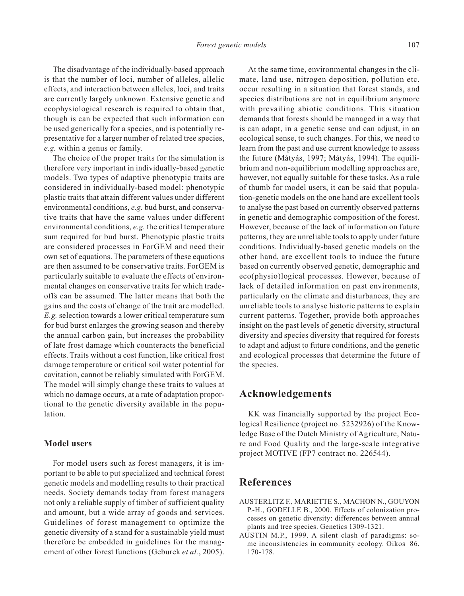The disadvantage of the individually-based approach is that the number of loci, number of alleles, allelic effects, and interaction between alleles, loci, and traits are currently largely unknown. Extensive genetic and ecophysiological research is required to obtain that, though is can be expected that such information can be used generically for a species, and is potentially representative for a larger number of related tree species, *e.g.* within a genus or family.

The choice of the proper traits for the simulation is therefore very important in individually-based genetic models. Two types of adaptive phenotypic traits are considered in individually-based model: phenotypic plastic traits that attain different values under different environmental conditions, *e.g.* bud burst, and conservative traits that have the same values under different environmental conditions, *e.g.* the critical temperature sum required for bud burst. Phenotypic plastic traits are considered processes in ForGEM and need their own set of equations. The parameters of these equations are then assumed to be conservative traits. ForGEM is particularly suitable to evaluate the effects of environmental changes on conservative traits for which tradeoffs can be assumed. The latter means that both the gains and the costs of change of the trait are modelled. *E.g.* selection towards a lower critical temperature sum for bud burst enlarges the growing season and thereby the annual carbon gain, but increases the probability of late frost damage which counteracts the beneficial effects. Traits without a cost function, like critical frost damage temperature or critical soil water potential for cavitation, cannot be reliably simulated with ForGEM. The model will simply change these traits to values at which no damage occurs, at a rate of adaptation proportional to the genetic diversity available in the population.

### **Model users**

For model users such as forest managers, it is important to be able to put specialized and technical forest genetic models and modelling results to their practical needs. Society demands today from forest managers not only a reliable supply of timber of sufficient quality and amount, but a wide array of goods and services. Guidelines of forest management to optimize the genetic diversity of a stand for a sustainable yield must therefore be embedded in guidelines for the management of other forest functions (Geburek *et al.*, 2005).

At the same time, environmental changes in the climate, land use, nitrogen deposition, pollution etc. occur resulting in a situation that forest stands, and species distributions are not in equilibrium anymore with prevailing abiotic conditions. This situation demands that forests should be managed in a way that is can adapt, in a genetic sense and can adjust, in an ecological sense, to such changes. For this, we need to learn from the past and use current knowledge to assess the future (Mátyás, 1997; Mátyás, 1994). The equilibrium and non-equilibrium modelling approaches are, however, not equally suitable for these tasks. As a rule of thumb for model users, it can be said that population-genetic models on the one hand are excellent tools to analyse the past based on currently observed patterns in genetic and demographic composition of the forest. However, because of the lack of information on future patterns, they are unreliable tools to apply under future conditions. Individually-based genetic models on the other hand, are excellent tools to induce the future based on currently observed genetic, demographic and eco(physio)logical processes. However, because of lack of detailed information on past environments, particularly on the climate and disturbances, they are unreliable tools to analyse historic patterns to explain current patterns. Together, provide both approaches insight on the past levels of genetic diversity, structural diversity and species diversity that required for forests to adapt and adjust to future conditions, and the genetic and ecological processes that determine the future of the species.

# **Acknowledgements**

KK was financially supported by the project Ecological Resilience (project no. 5232926) of the Knowledge Base of the Dutch Ministry of Agriculture, Nature and Food Quality and the large-scale integrative project MOTIVE (FP7 contract no. 226544).

# **References**

- AUSTERLITZ F., MARIETTE S., MACHON N., GOUYON P.-H., GODELLE B., 2000. Effects of colonization processes on genetic diversity: differences between annual plants and tree species. Genetics 1309-1321.
- AUSTIN M.P., 1999. A silent clash of paradigms: some inconsistencies in community ecology. Oikos 86, 170-178.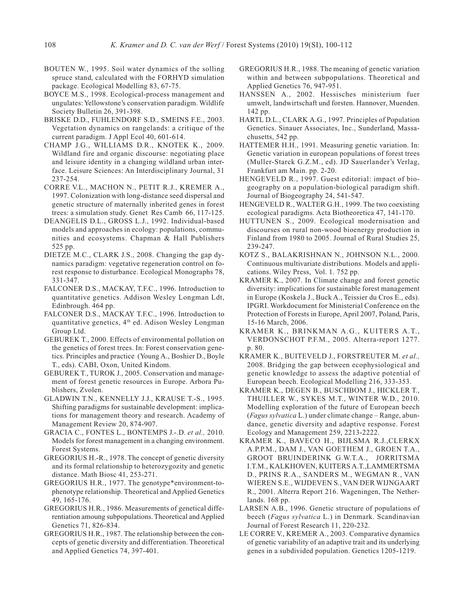- BOUTEN W., 1995. Soil water dynamics of the solling spruce stand, calculated with the FORHYD simulation package. Ecological Modelling 83, 67-75.
- BOYCE M.S., 1998. Ecological-process management and ungulates: Yellowstone's conservation paradigm. Wildlife Society Bulletin 26, 391-398.
- BRISKE D.D., FUHLENDORF S.D., SMEINS F.E., 2003. Vegetation dynamics on rangelands: a critique of the current paradigm. J Appl Ecol 40, 601-614.
- CHAMP J.G., WILLIAMS D.R., KNOTEK K., 2009. Wildland fire and organic discourse: negotiating place and leisure identity in a changing wildland urban interface. Leisure Sciences: An Interdisciplinary Journal, 31 237-254.
- CORRE V.L., MACHON N., PETIT R.J., KREMER A., 1997. Colonization with long-distance seed dispersal and genetic structure of maternally inherited genes in forest trees: a simulation study. Genet Res Camb 66, 117-125.
- DEANGELIS D.L., GROSS L.J., 1992. Individual-based models and approaches in ecology: populations, communities and ecosystems. Chapman & Hall Publishers 525 pp.
- DIETZE M.C., CLARK J.S., 2008. Changing the gap dynamics paradigm: vegetative regeneration control on forest response to disturbance. Ecological Monographs 78, 331-347.
- FALCONER D.S., MACKAY, T.F.C., 1996. Introduction to quantitative genetics. Addison Wesley Longman Ldt, Edinbrough. 464 pp.
- FALCONER D.S., MACKAY T.F.C., 1996. Introduction to quantitative genetics, 4th ed. Adison Wesley Longman Group Ltd.
- GEBUREK T., 2000. Effects of environmental pollution on the genetics of forest trees. In: Forest conservation genetics. Principles and practice (Young A., Boshier D., Boyle T., eds). CABI, Oxon, United Kindom.
- GEBUREK T., TUROK J., 2005. Conservation and management of forest genetic resources in Europe. Arbora Publishers, Zvolen.
- GLADWIN T.N., KENNELLY J.J., KRAUSE T.-S., 1995. Shifting paradigms for sustainable development: implications for management theory and research. Academy of Management Review 20, 874-907.
- GRACIA C., FONTES L., BONTEMPS J.-.D. *et al.,* 2010. Models for forest management in a changing environment. Forest Systems.
- GREGORIUS H.-R., 1978. The concept of genetic diversity and its formal relationship to heterozygozity and genetic distance. Math Biosc 41, 253-271.
- GREGORIUS H.R., 1977. The genotype\*environment-tophenotype relationship. Theoretical and Applied Genetics 49, 165-176.
- GREGORIUS H.R., 1986. Measurements of genetical differentiation amoung subpopulations. Theoretical and Applied Genetics 71, 826-834.
- GREGORIUS H.R., 1987. The relationship between the concepts of genetic diversity and differentiation. Theoretical and Applied Genetics 74, 397-401.
- GREGORIUS H.R., 1988. The meaning of genetic variation within and between subpopulations. Theoretical and Applied Genetics 76, 947-951.
- HANSSEN A., 2002. Hessisches ministerium fuer umwelt, landwirtschaft und forsten. Hannover, Muenden. 142 pp.
- HARTL D.L., CLARK A.G., 1997. Principles of Population Genetics. Sinauer Associates, Inc., Sunderland, Massachusetts, 542 pp.
- HATTEMER H.H., 1991. Measuring genetic variation. In: Genetic variation in european populations of forest trees (Muller-Starck G.Z.M., ed). JD Sauerlander's Verlag, Frankfurt am Main. pp. 2-20.
- HENGEVELD R., 1997. Guest editorial: impact of biogeography on a population-biological paradigm shift. Journal of Biogeography 24, 541-547.
- HENGEVELD R., WALTER G.H., 1999. The two coexisting ecological paradigms. Acta Biotheoretica 47, 141-170.
- HUTTUNEN S., 2009. Ecological modernisation and discourses on rural non-wood bioenergy production in Finland from 1980 to 2005. Journal of Rural Studies 25, 239-247.
- KOTZ S., BALAKRISHNAN N., JOHNSON N.L., 2000. Continuous multivariate distributions. Models and applications. Wiley Press, Vol. 1. 752 pp.
- KRAMER K., 2007. In Climate change and forest genetic diversity: implications for sustainable forest management in Europe (Koskela J., Buck A., Teissier du Cros E., eds). IPGRI. Workdocument for Ministerial Conference on the Protection of Forests in Europe, April 2007, Poland, Paris, 15-16 March, 2006.
- KRAMER K., BRINKMAN A.G., KUITERS A.T., VERDONSCHOT P.F.M., 2005. Alterra-report 1277. p. 80.
- KRAMER K., BUITEVELD J., FORSTREUTER M. *et al.,* 2008. Bridging the gap between ecophysiological and genetic knowledge to assess the adaptive potential of European beech. Ecological Modelling 216, 333-353.
- KRAMER K., DEGEN B., BUSCHBOM J., HICKLER T., THUILLER W., SYKES M.T., WINTER W.D., 2010. Modelling exploration of the future of European beech (*Fagus sylvatica* L.) under climate change – Range, abundance, genetic diversity and adaptive response. Forest Ecology and Management 259, 2213-2222.
- KRAMER K., BAVECO H., BIJLSMA R.J.,CLERKX A.P.P.M., DAM J., VAN GOETHEM J., GROEN T.A., GROOT BRUINDERINK G.W.T.A., JORRITSMA I.T.M., KALKHOVEN, KUITERS A.T.,LAMMERTSMA D., PRINS R.A., SANDERS M., WEGMAN R., VAN WIEREN S.E., WIJDEVEN S., VAN DER WIJNGAART R., 2001. Alterra Report 216. Wageningen, The Netherlands. 168 pp.
- LARSEN A.B., 1996. Genetic structure of populations of beech (*Fagus sylvatica* L.) in Denmark. Scandinavian Journal of Forest Research 11, 220-232.
- LE CORRE V., KREMER A., 2003. Comparative dynamics of genetic variability of an adaptive trait and its underlying genes in a subdivided population. Genetics 1205-1219.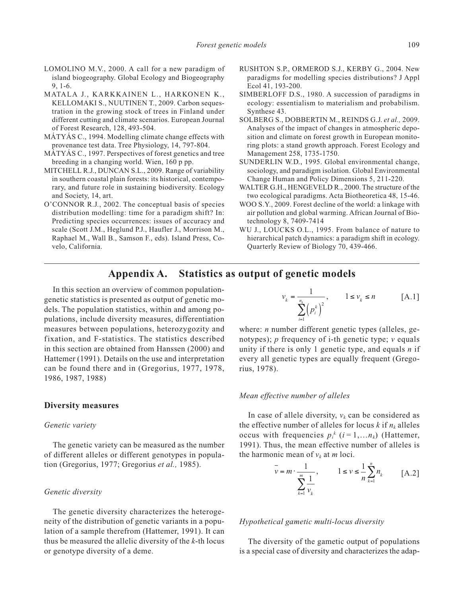- LOMOLINO M.V., 2000. A call for a new paradigm of island biogeography. Global Ecology and Biogeography 9, 1-6.
- MATALA J., KARKKAINEN L., HARKONEN K., KELLOMAKI S., NUUTINEN T., 2009. Carbon sequestration in the growing stock of trees in Finland under different cutting and climate scenarios. European Journal of Forest Research, 128, 493-504.
- MÁTYÁS C., 1994. Modelling climate change effects with provenance test data. Tree Physiology, 14, 797-804.
- MÁTYÁS C., 1997. Perspectives of forest genetics and tree breeding in a changing world. Wien, 160 p pp.
- MITCHELL R.J., DUNCAN S.L., 2009. Range of variability in southern coastal plain forests: its historical, contemporary, and future role in sustaining biodiversity. Ecology and Society, 14, art.
- O'CONNOR R.J., 2002. The conceptual basis of species distribution modelling: time for a paradigm shift? In: Predicting species occurrences: issues of accuracy and scale (Scott J.M., Heglund P.J., Haufler J., Morrison M., Raphael M., Wall B., Samson F., eds). Island Press, Covelo, California.
- RUSHTON S.P., ORMEROD S.J., KERBY G., 2004. New paradigms for modelling species distributions? J Appl Ecol 41, 193-200.
- SIMBERLOFF D.S., 1980. A succession of paradigms in ecology: essentialism to materialism and probabilism. Synthese 43.
- SOLBERG S., DOBBERTIN M., REINDS G.J. *et al.,* 2009. Analyses of the impact of changes in atmospheric deposition and climate on forest growth in European monitoring plots: a stand growth approach. Forest Ecology and Management 258, 1735-1750.
- SUNDERLIN W.D., 1995. Global environmental change, sociology, and paradigm isolation. Global Environmental Change Human and Policy Dimensions 5, 211-220.
- WALTER G.H., HENGEVELD R., 2000. The structure of the two ecological paradigms. Acta Biotheoretica 48, 15-46.
- WOO S.Y., 2009. Forest decline of the world: a linkage with air pollution and global warming. African Journal of Biotechnology 8, 7409-7414
- WU J., LOUCKS O.L., 1995. From balance of nature to hierarchical patch dynamics: a paradigm shift in ecology. Quarterly Review of Biology 70, 439-466.

# **Appendix A. Statistics as output of genetic models**

In this section an overview of common populationgenetic statistics is presented as output of genetic models. The population statistics, within and among populations, include diversity measures, differentiation measures between populations, heterozygozity and fixation, and F-statistics. The statistics described in this section are obtained from Hanssen (2000) and Hattemer (1991). Details on the use and interpretation can be found there and in (Gregorius, 1977, 1978, 1986, 1987, 1988)

#### **Diversity measures**

#### *Genetic variety*

The genetic variety can be measured as the number of different alleles or different genotypes in population (Gregorius, 1977; Gregorius *et al.,* 1985).

#### *Genetic diversity*

The genetic diversity characterizes the heterogeneity of the distribution of genetic variants in a population of a sample therefrom (Hattemer, 1991). It can thus be measured the allelic diversity of the *k*-th locus or genotype diversity of a deme.

$$
v_k = \frac{1}{\sum_{i=1}^{n_k} (p_i^k)^2}, \qquad 1 \le v_k \le n \qquad [A.1]
$$

where: *n* number different genetic types (alleles, genotypes); *p* frequency of i-th genetic type; *v* equals unity if there is only 1 genetic type, and equals *n* if every all genetic types are equally frequent (Gregorius, 1978).

#### *Mean effective number of alleles*

In case of allele diversity,  $v_k$  can be considered as the effective number of alleles for locus  $k$  if  $n_k$  alleles occus with frequencies  $p_i^k$  ( $i = 1,...n_k$ ) (Hattemer, 1991). Thus, the mean effective number of alleles is the harmonic mean of  $v_k$  at *m* loci.

$$
\overline{v} = m \cdot \frac{1}{\sum_{k=1}^{m} \frac{1}{v_k}}, \qquad 1 \le v \le \frac{1}{n} \sum_{k=1}^{n} n_k
$$
 [A.2]

#### *Hypothetical gametic multi-locus diversity*

The diversity of the gametic output of populations is a special case of diversity and characterizes the adap-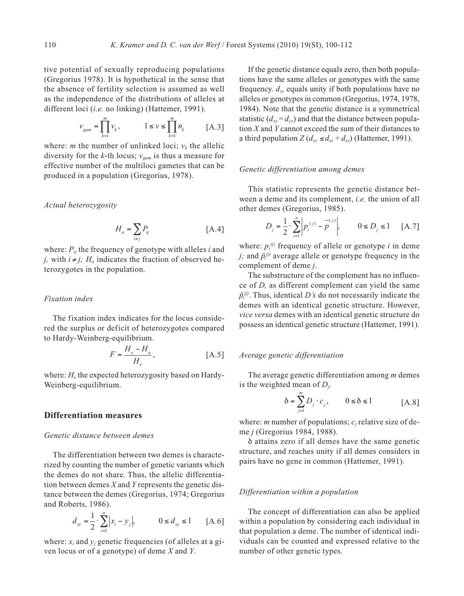tive potential of sexually reproducing populations (Gregorius 1978). It is hypothetical in the sense that the absence of fertility selection is assumed as well as the independence of the distributions of alleles at different loci (*i.e.* no linking) (Hattemer, 1991).

$$
v_{\text{gam}} = \prod_{k=1}^{m} v_k, \qquad \qquad 1 \leq v \leq \prod_{k=1}^{m} n_k \qquad \quad \text{[A.3]}
$$

where: *m* the number of unlinked loci;  $v_k$  the allelic diversity for the *k*-th locus;  $v_{\text{cam}}$  is thus a measure for effective number of the multiloci gametes that can be produced in a population (Gregorius, 1978).

*Actual heterozygosity*

$$
H_a = \sum_{i \neq j} P_{ij} \tag{A.4}
$$

where:  $P_{ij}$  the frequency of genotype with alleles *i* and *j*, with  $i \neq j$ ;  $H_a$  indicates the fraction of observed heterozygotes in the population.

### *Fixation index*

The fixation index indicates for the locus considered the surplus or deficit of heterozygotes compared to Hardy-Weinberg-equilibrium.

$$
F = \frac{H_e - H_a}{H_e},
$$
 [A.5]

where:  $H_e$  the expected heterozygosity based on Hardy-Weinberg-equilibrium.

### **Differentiation measures**

#### *Genetic distance between demes*

The differentiation between two demes is characterized by counting the number of genetic variants which the demes do not share. Thus, the allelic differentiation between demes *X* and *Y* represents the genetic distance between the demes (Gregorius, 1974; Gregorius and Roberts, 1986).

$$
d_{xy} = \frac{1}{2} \cdot \sum_{i=1}^{n} |x_i - y_j|, \qquad 0 \le d_{xy} \le 1 \qquad [A.6]
$$

where:  $x_i$  and  $y_j$  genetic frequencies (of alleles at a given locus or of a genotype) of deme *X* and *Y*.

If the genetic distance equals zero, then both populations have the same alleles or genotypes with the same frequency.  $d_{xy}$  equals unity if both populations have no alleles or genotypes in common (Gregorius, 1974, 1978, 1984). Note that the genetic distance is a symmetrical statistic  $(d_{xy} = d_{yy})$  and that the distance between population *X* and *Y* cannot exceed the sum of their distances to a third population  $Z(d_{xy} \leq d_{xz} + d_{yz})$  (Hattemer, 1991).

#### *Genetic differentiation among demes*

This statistic represents the genetic distance between a deme and its complement, *i.e.* the union of all other demes (Gregorius, 1985).

$$
D_{j} = \frac{1}{2} \cdot \sum_{i=1}^{n} \left| p_{i}^{(j)} - p^{-j} \right|, \qquad 0 \le D_{j} \le 1 \quad [A.7]
$$

where:  $p_i^{(j)}$  frequency of allele or genotype *i* in deme *j*; and  $\bar{p}_i^{(j)}$  average allele or genotype frequency in the complement of deme *j*.

The substructure of the complement has no influence of *D,* as different complement can yield the same  $\bar{p}_i^{(j)}$ . Thus, identical *D's* do not necessarily indicate the demes with an identical genetic structure. However, *vice versa* demes with an identical genetic structure do possess an identical genetic structure (Hattemer, 1991).

#### *Average genetic differentiation*

The average genetic differentiation among *m* demes is the weighted mean of *Dj*.

$$
\delta = \sum_{j=1}^{m} D_j \cdot c_j, \qquad 0 \le \delta \le 1 \tag{A.8}
$$

where: *m* number of populations;  $c_i$  relative size of deme *j* (Gregorius 1984, 1988).

δ attains zero if all demes have the same genetic structure, and reaches unity if all demes considers in pairs have no gene in common (Hattemer, 1991).

#### *Differentiation within a population*

The concept of differentiation can also be applied within a population by considering each individual in that population a deme. The number of identical individuals can be counted and expressed relative to the number of other genetic types.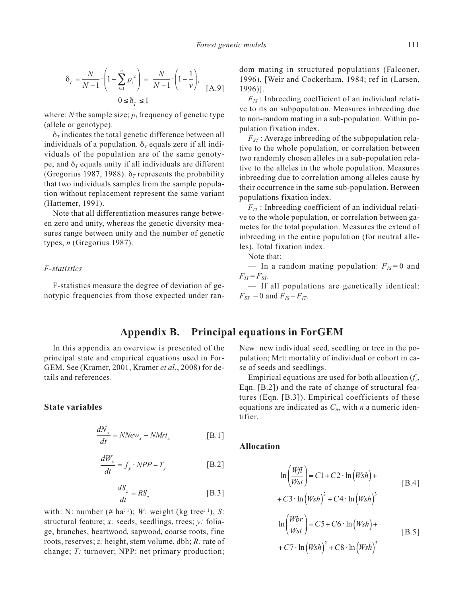$$
\delta_{T} = \frac{N}{N-1} \cdot \left( 1 - \sum_{i=1}^{n} p_{i}^{2} \right) = \frac{N}{N-1} \cdot \left( 1 - \frac{1}{\nu} \right), \quad \text{[A.9]}
$$

$$
0 \le \delta_{T} \le 1
$$

where: *N* the sample size;  $p_i$  frequency of genetic type (allele or genotype).

 $\delta$ <sub>*T*</sub> indicates the total genetic difference between all individuals of a population.  $\delta_\tau$  equals zero if all individuals of the population are of the same genotype, and  $\delta_T$  equals unity if all individuals are different (Gregorius 1987, 1988).  $\delta_T$  represents the probability that two individuals samples from the sample population without replacement represent the same variant (Hattemer, 1991).

Note that all differentiation measures range between zero and unity, whereas the genetic diversity measures range between unity and the number of genetic types, *n* (Gregorius 1987).

#### *F-statistics*

F-statistics measure the degree of deviation of genotypic frequencies from those expected under random mating in structured populations (Falconer, 1996), [Weir and Cockerham, 1984; ref in (Larsen, 1996)].

 $F_{IS}$ : Inbreeding coefficient of an individual relative to its on subpopulation. Measures inbreeding due to non-random mating in a sub-population. Within population fixation index.

 $F_{ST}$ : Average inbreeding of the subpopulation relative to the whole population, or correlation between two randomly chosen alleles in a sub-population relative to the alleles in the whole population. Measures inbreeding due to correlation among alleles cause by their occurrence in the same sub-population. Between populations fixation index.

 $F_{IT}$ : Inbreeding coefficient of an individual relative to the whole population, or correlation between gametes for the total population. Measures the extend of inbreeding in the entire population (for neutral alleles). Total fixation index.

Note that:

— In a random mating population:  $F_{IS} = 0$  and  $F_{IT} = F_{ST}$ .

— If all populations are genetically identical:  $F_{ST} = 0$  and  $F_{IS} = F_{IT}$ .

# **Appendix B. Principal equations in ForGEM**

In this appendix an overview is presented of the principal state and empirical equations used in For-GEM. See (Kramer, 2001, Kramer *et al.*, 2008) for details and references.

### **State variables**

$$
\frac{dN_x}{dt} = NNew_x - NMrt_x
$$
 [B.1]

$$
\frac{dW_y}{dt} = f_y \cdot NPP - T_y \qquad \qquad \text{[B.2]}
$$

$$
\frac{dS_z}{dt} = RS_z \tag{B.3}
$$

with: N: number (# ha<sup>: 1</sup>); *W*: weight (kg tree<sup>: 1</sup>), *S*: structural feature; *x:* seeds, seedlings, trees; *y:* foliage, branches, heartwood, sapwood, coarse roots, fine roots, reserves; *z:* height, stem volume, dbh; *R:* rate of change; *T:* turnover; NPP: net primary production;

New: new individual seed, seedling or tree in the population; Mrt: mortality of individual or cohort in case of seeds and seedlings.

Empirical equations are used for both allocation (*fy*, Eqn. [B.2]) and the rate of change of structural features (Eqn. [B.3]). Empirical coefficients of these equations are indicated as  $C_n$ , with *n* a numeric identifier.

#### **Allocation**

$$
\ln\left(\frac{Wf l}{Wst}\right) = C1 + C2 \cdot \ln\left(Wsh\right) +
$$
\n
$$
+ C3 \cdot \ln\left(Wsh\right)^{2} + C4 \cdot \ln\left(Wsh\right)^{3}
$$
\n
$$
\ln\left(\frac{Wbr}{Wst}\right) = C5 + C6 \cdot \ln\left(Wsh\right) +
$$
\n
$$
+ C7 \cdot \ln\left(Wsh\right)^{2} + C8 \cdot \ln\left(Wsh\right)^{3}
$$
\n[B.5]